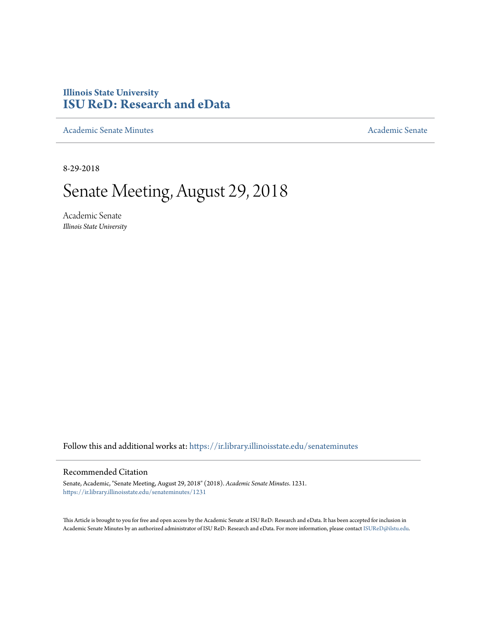## **Illinois State University [ISU ReD: Research and eData](https://ir.library.illinoisstate.edu?utm_source=ir.library.illinoisstate.edu%2Fsenateminutes%2F1231&utm_medium=PDF&utm_campaign=PDFCoverPages)**

[Academic Senate Minutes](https://ir.library.illinoisstate.edu/senateminutes?utm_source=ir.library.illinoisstate.edu%2Fsenateminutes%2F1231&utm_medium=PDF&utm_campaign=PDFCoverPages) [Academic Senate](https://ir.library.illinoisstate.edu/senate?utm_source=ir.library.illinoisstate.edu%2Fsenateminutes%2F1231&utm_medium=PDF&utm_campaign=PDFCoverPages) Academic Senate

8-29-2018

# Senate Meeting, August 29, 2018

Academic Senate *Illinois State University*

Follow this and additional works at: [https://ir.library.illinoisstate.edu/senateminutes](https://ir.library.illinoisstate.edu/senateminutes?utm_source=ir.library.illinoisstate.edu%2Fsenateminutes%2F1231&utm_medium=PDF&utm_campaign=PDFCoverPages)

#### Recommended Citation

Senate, Academic, "Senate Meeting, August 29, 2018" (2018). *Academic Senate Minutes*. 1231. [https://ir.library.illinoisstate.edu/senateminutes/1231](https://ir.library.illinoisstate.edu/senateminutes/1231?utm_source=ir.library.illinoisstate.edu%2Fsenateminutes%2F1231&utm_medium=PDF&utm_campaign=PDFCoverPages)

This Article is brought to you for free and open access by the Academic Senate at ISU ReD: Research and eData. It has been accepted for inclusion in Academic Senate Minutes by an authorized administrator of ISU ReD: Research and eData. For more information, please contact [ISUReD@ilstu.edu.](mailto:ISUReD@ilstu.edu)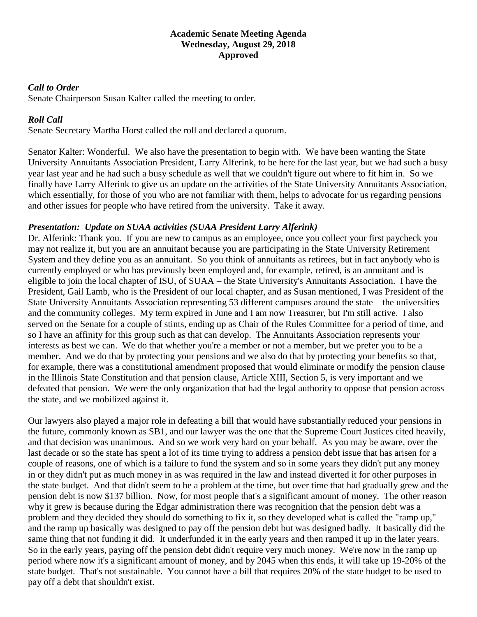## **Academic Senate Meeting Agenda Wednesday, August 29, 2018 Approved**

## *Call to Order*

Senate Chairperson Susan Kalter called the meeting to order.

## *Roll Call*

Senate Secretary Martha Horst called the roll and declared a quorum.

Senator Kalter: Wonderful. We also have the presentation to begin with. We have been wanting the State University Annuitants Association President, Larry Alferink, to be here for the last year, but we had such a busy year last year and he had such a busy schedule as well that we couldn't figure out where to fit him in. So we finally have Larry Alferink to give us an update on the activities of the State University Annuitants Association, which essentially, for those of you who are not familiar with them, helps to advocate for us regarding pensions and other issues for people who have retired from the university. Take it away.

## *Presentation: Update on SUAA activities (SUAA President Larry Alferink)*

Dr. Alferink: Thank you. If you are new to campus as an employee, once you collect your first paycheck you may not realize it, but you are an annuitant because you are participating in the State University Retirement System and they define you as an annuitant. So you think of annuitants as retirees, but in fact anybody who is currently employed or who has previously been employed and, for example, retired, is an annuitant and is eligible to join the local chapter of ISU, of SUAA – the State University's Annuitants Association. I have the President, Gail Lamb, who is the President of our local chapter, and as Susan mentioned, I was President of the State University Annuitants Association representing 53 different campuses around the state – the universities and the community colleges. My term expired in June and I am now Treasurer, but I'm still active. I also served on the Senate for a couple of stints, ending up as Chair of the Rules Committee for a period of time, and so I have an affinity for this group such as that can develop. The Annuitants Association represents your interests as best we can. We do that whether you're a member or not a member, but we prefer you to be a member. And we do that by protecting your pensions and we also do that by protecting your benefits so that, for example, there was a constitutional amendment proposed that would eliminate or modify the pension clause in the Illinois State Constitution and that pension clause, Article XIII, Section 5, is very important and we defeated that pension. We were the only organization that had the legal authority to oppose that pension across the state, and we mobilized against it.

Our lawyers also played a major role in defeating a bill that would have substantially reduced your pensions in the future, commonly known as SB1, and our lawyer was the one that the Supreme Court Justices cited heavily, and that decision was unanimous. And so we work very hard on your behalf. As you may be aware, over the last decade or so the state has spent a lot of its time trying to address a pension debt issue that has arisen for a couple of reasons, one of which is a failure to fund the system and so in some years they didn't put any money in or they didn't put as much money in as was required in the law and instead diverted it for other purposes in the state budget. And that didn't seem to be a problem at the time, but over time that had gradually grew and the pension debt is now \$137 billion. Now, for most people that's a significant amount of money. The other reason why it grew is because during the Edgar administration there was recognition that the pension debt was a problem and they decided they should do something to fix it, so they developed what is called the "ramp up," and the ramp up basically was designed to pay off the pension debt but was designed badly. It basically did the same thing that not funding it did. It underfunded it in the early years and then ramped it up in the later years. So in the early years, paying off the pension debt didn't require very much money. We're now in the ramp up period where now it's a significant amount of money, and by 2045 when this ends, it will take up 19-20% of the state budget. That's not sustainable. You cannot have a bill that requires 20% of the state budget to be used to pay off a debt that shouldn't exist.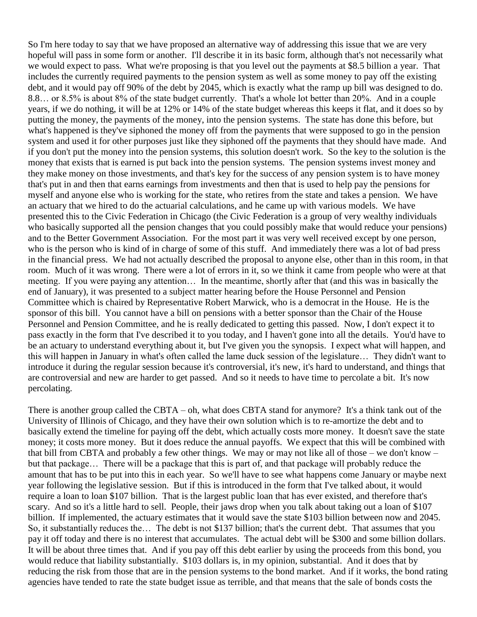So I'm here today to say that we have proposed an alternative way of addressing this issue that we are very hopeful will pass in some form or another. I'll describe it in its basic form, although that's not necessarily what we would expect to pass. What we're proposing is that you level out the payments at \$8.5 billion a year. That includes the currently required payments to the pension system as well as some money to pay off the existing debt, and it would pay off 90% of the debt by 2045, which is exactly what the ramp up bill was designed to do. 8.8… or 8.5% is about 8% of the state budget currently. That's a whole lot better than 20%. And in a couple years, if we do nothing, it will be at 12% or 14% of the state budget whereas this keeps it flat, and it does so by putting the money, the payments of the money, into the pension systems. The state has done this before, but what's happened is they've siphoned the money off from the payments that were supposed to go in the pension system and used it for other purposes just like they siphoned off the payments that they should have made. And if you don't put the money into the pension systems, this solution doesn't work. So the key to the solution is the money that exists that is earned is put back into the pension systems. The pension systems invest money and they make money on those investments, and that's key for the success of any pension system is to have money that's put in and then that earns earnings from investments and then that is used to help pay the pensions for myself and anyone else who is working for the state, who retires from the state and takes a pension. We have an actuary that we hired to do the actuarial calculations, and he came up with various models. We have presented this to the Civic Federation in Chicago (the Civic Federation is a group of very wealthy individuals who basically supported all the pension changes that you could possibly make that would reduce your pensions) and to the Better Government Association. For the most part it was very well received except by one person, who is the person who is kind of in charge of some of this stuff. And immediately there was a lot of bad press in the financial press. We had not actually described the proposal to anyone else, other than in this room, in that room. Much of it was wrong. There were a lot of errors in it, so we think it came from people who were at that meeting. If you were paying any attention… In the meantime, shortly after that (and this was in basically the end of January), it was presented to a subject matter hearing before the House Personnel and Pension Committee which is chaired by Representative Robert Marwick, who is a democrat in the House. He is the sponsor of this bill. You cannot have a bill on pensions with a better sponsor than the Chair of the House Personnel and Pension Committee, and he is really dedicated to getting this passed. Now, I don't expect it to pass exactly in the form that I've described it to you today, and I haven't gone into all the details. You'd have to be an actuary to understand everything about it, but I've given you the synopsis. I expect what will happen, and this will happen in January in what's often called the lame duck session of the legislature… They didn't want to introduce it during the regular session because it's controversial, it's new, it's hard to understand, and things that are controversial and new are harder to get passed. And so it needs to have time to percolate a bit. It's now percolating.

There is another group called the CBTA – oh, what does CBTA stand for anymore? It's a think tank out of the University of Illinois of Chicago, and they have their own solution which is to re-amortize the debt and to basically extend the timeline for paying off the debt, which actually costs more money. It doesn't save the state money; it costs more money. But it does reduce the annual payoffs. We expect that this will be combined with that bill from CBTA and probably a few other things. We may or may not like all of those – we don't know – but that package… There will be a package that this is part of, and that package will probably reduce the amount that has to be put into this in each year. So we'll have to see what happens come January or maybe next year following the legislative session. But if this is introduced in the form that I've talked about, it would require a loan to loan \$107 billion. That is the largest public loan that has ever existed, and therefore that's scary. And so it's a little hard to sell. People, their jaws drop when you talk about taking out a loan of \$107 billion. If implemented, the actuary estimates that it would save the state \$103 billion between now and 2045. So, it substantially reduces the… The debt is not \$137 billion; that's the current debt. That assumes that you pay it off today and there is no interest that accumulates. The actual debt will be \$300 and some billion dollars. It will be about three times that. And if you pay off this debt earlier by using the proceeds from this bond, you would reduce that liability substantially. \$103 dollars is, in my opinion, substantial. And it does that by reducing the risk from those that are in the pension systems to the bond market. And if it works, the bond rating agencies have tended to rate the state budget issue as terrible, and that means that the sale of bonds costs the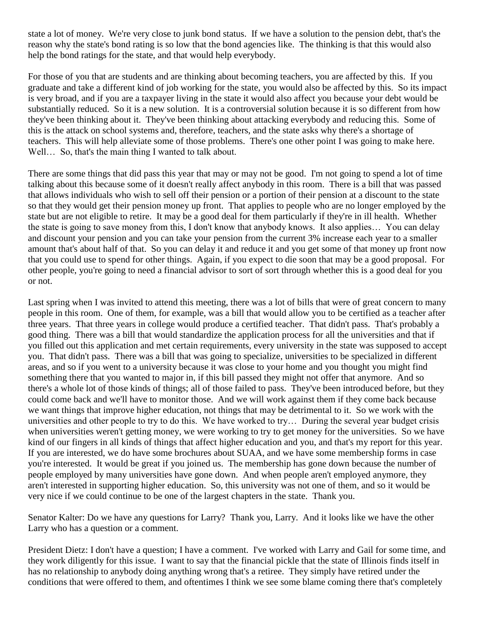state a lot of money. We're very close to junk bond status. If we have a solution to the pension debt, that's the reason why the state's bond rating is so low that the bond agencies like. The thinking is that this would also help the bond ratings for the state, and that would help everybody.

For those of you that are students and are thinking about becoming teachers, you are affected by this. If you graduate and take a different kind of job working for the state, you would also be affected by this. So its impact is very broad, and if you are a taxpayer living in the state it would also affect you because your debt would be substantially reduced. So it is a new solution. It is a controversial solution because it is so different from how they've been thinking about it. They've been thinking about attacking everybody and reducing this. Some of this is the attack on school systems and, therefore, teachers, and the state asks why there's a shortage of teachers. This will help alleviate some of those problems. There's one other point I was going to make here. Well... So, that's the main thing I wanted to talk about.

There are some things that did pass this year that may or may not be good. I'm not going to spend a lot of time talking about this because some of it doesn't really affect anybody in this room. There is a bill that was passed that allows individuals who wish to sell off their pension or a portion of their pension at a discount to the state so that they would get their pension money up front. That applies to people who are no longer employed by the state but are not eligible to retire. It may be a good deal for them particularly if they're in ill health. Whether the state is going to save money from this, I don't know that anybody knows. It also applies… You can delay and discount your pension and you can take your pension from the current 3% increase each year to a smaller amount that's about half of that. So you can delay it and reduce it and you get some of that money up front now that you could use to spend for other things. Again, if you expect to die soon that may be a good proposal. For other people, you're going to need a financial advisor to sort of sort through whether this is a good deal for you or not.

Last spring when I was invited to attend this meeting, there was a lot of bills that were of great concern to many people in this room. One of them, for example, was a bill that would allow you to be certified as a teacher after three years. That three years in college would produce a certified teacher. That didn't pass. That's probably a good thing. There was a bill that would standardize the application process for all the universities and that if you filled out this application and met certain requirements, every university in the state was supposed to accept you. That didn't pass. There was a bill that was going to specialize, universities to be specialized in different areas, and so if you went to a university because it was close to your home and you thought you might find something there that you wanted to major in, if this bill passed they might not offer that anymore. And so there's a whole lot of those kinds of things; all of those failed to pass. They've been introduced before, but they could come back and we'll have to monitor those. And we will work against them if they come back because we want things that improve higher education, not things that may be detrimental to it. So we work with the universities and other people to try to do this. We have worked to try… During the several year budget crisis when universities weren't getting money, we were working to try to get money for the universities. So we have kind of our fingers in all kinds of things that affect higher education and you, and that's my report for this year. If you are interested, we do have some brochures about SUAA, and we have some membership forms in case you're interested. It would be great if you joined us. The membership has gone down because the number of people employed by many universities have gone down. And when people aren't employed anymore, they aren't interested in supporting higher education. So, this university was not one of them, and so it would be very nice if we could continue to be one of the largest chapters in the state. Thank you.

Senator Kalter: Do we have any questions for Larry? Thank you, Larry. And it looks like we have the other Larry who has a question or a comment.

President Dietz: I don't have a question; I have a comment. I've worked with Larry and Gail for some time, and they work diligently for this issue. I want to say that the financial pickle that the state of Illinois finds itself in has no relationship to anybody doing anything wrong that's a retiree. They simply have retired under the conditions that were offered to them, and oftentimes I think we see some blame coming there that's completely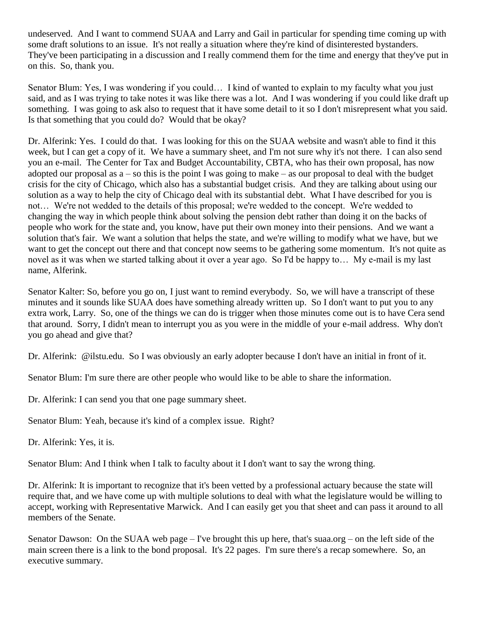undeserved. And I want to commend SUAA and Larry and Gail in particular for spending time coming up with some draft solutions to an issue. It's not really a situation where they're kind of disinterested bystanders. They've been participating in a discussion and I really commend them for the time and energy that they've put in on this. So, thank you.

Senator Blum: Yes, I was wondering if you could… I kind of wanted to explain to my faculty what you just said, and as I was trying to take notes it was like there was a lot. And I was wondering if you could like draft up something. I was going to ask also to request that it have some detail to it so I don't misrepresent what you said. Is that something that you could do? Would that be okay?

Dr. Alferink: Yes. I could do that. I was looking for this on the SUAA website and wasn't able to find it this week, but I can get a copy of it. We have a summary sheet, and I'm not sure why it's not there. I can also send you an e-mail. The Center for Tax and Budget Accountability, CBTA, who has their own proposal, has now adopted our proposal as  $a - so$  this is the point I was going to make – as our proposal to deal with the budget crisis for the city of Chicago, which also has a substantial budget crisis. And they are talking about using our solution as a way to help the city of Chicago deal with its substantial debt. What I have described for you is not… We're not wedded to the details of this proposal; we're wedded to the concept. We're wedded to changing the way in which people think about solving the pension debt rather than doing it on the backs of people who work for the state and, you know, have put their own money into their pensions. And we want a solution that's fair. We want a solution that helps the state, and we're willing to modify what we have, but we want to get the concept out there and that concept now seems to be gathering some momentum. It's not quite as novel as it was when we started talking about it over a year ago. So I'd be happy to… My e-mail is my last name, Alferink.

Senator Kalter: So, before you go on, I just want to remind everybody. So, we will have a transcript of these minutes and it sounds like SUAA does have something already written up. So I don't want to put you to any extra work, Larry. So, one of the things we can do is trigger when those minutes come out is to have Cera send that around. Sorry, I didn't mean to interrupt you as you were in the middle of your e-mail address. Why don't you go ahead and give that?

Dr. Alferink: @ilstu.edu. So I was obviously an early adopter because I don't have an initial in front of it.

Senator Blum: I'm sure there are other people who would like to be able to share the information.

Dr. Alferink: I can send you that one page summary sheet.

Senator Blum: Yeah, because it's kind of a complex issue. Right?

Dr. Alferink: Yes, it is.

Senator Blum: And I think when I talk to faculty about it I don't want to say the wrong thing.

Dr. Alferink: It is important to recognize that it's been vetted by a professional actuary because the state will require that, and we have come up with multiple solutions to deal with what the legislature would be willing to accept, working with Representative Marwick. And I can easily get you that sheet and can pass it around to all members of the Senate.

Senator Dawson: On the SUAA web page – I've brought this up here, that's suaa.org – on the left side of the main screen there is a link to the bond proposal. It's 22 pages. I'm sure there's a recap somewhere. So, an executive summary.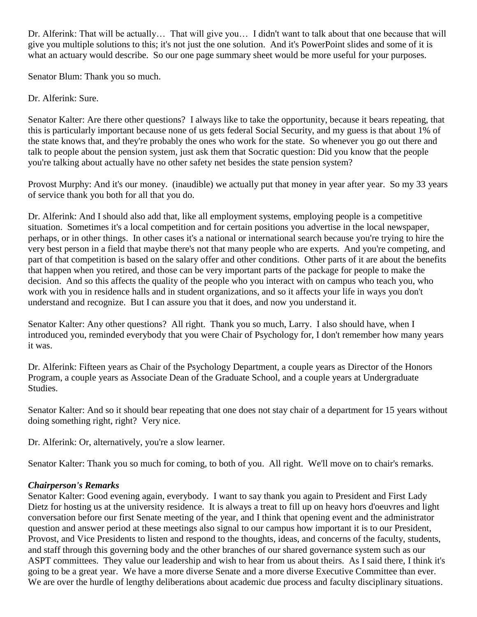Dr. Alferink: That will be actually… That will give you… I didn't want to talk about that one because that will give you multiple solutions to this; it's not just the one solution. And it's PowerPoint slides and some of it is what an actuary would describe. So our one page summary sheet would be more useful for your purposes.

Senator Blum: Thank you so much.

Dr. Alferink: Sure.

Senator Kalter: Are there other questions? I always like to take the opportunity, because it bears repeating, that this is particularly important because none of us gets federal Social Security, and my guess is that about 1% of the state knows that, and they're probably the ones who work for the state. So whenever you go out there and talk to people about the pension system, just ask them that Socratic question: Did you know that the people you're talking about actually have no other safety net besides the state pension system?

Provost Murphy: And it's our money. (inaudible) we actually put that money in year after year. So my 33 years of service thank you both for all that you do.

Dr. Alferink: And I should also add that, like all employment systems, employing people is a competitive situation. Sometimes it's a local competition and for certain positions you advertise in the local newspaper, perhaps, or in other things. In other cases it's a national or international search because you're trying to hire the very best person in a field that maybe there's not that many people who are experts. And you're competing, and part of that competition is based on the salary offer and other conditions. Other parts of it are about the benefits that happen when you retired, and those can be very important parts of the package for people to make the decision. And so this affects the quality of the people who you interact with on campus who teach you, who work with you in residence halls and in student organizations, and so it affects your life in ways you don't understand and recognize. But I can assure you that it does, and now you understand it.

Senator Kalter: Any other questions? All right. Thank you so much, Larry. I also should have, when I introduced you, reminded everybody that you were Chair of Psychology for, I don't remember how many years it was.

Dr. Alferink: Fifteen years as Chair of the Psychology Department, a couple years as Director of the Honors Program, a couple years as Associate Dean of the Graduate School, and a couple years at Undergraduate Studies.

Senator Kalter: And so it should bear repeating that one does not stay chair of a department for 15 years without doing something right, right? Very nice.

Dr. Alferink: Or, alternatively, you're a slow learner.

Senator Kalter: Thank you so much for coming, to both of you. All right. We'll move on to chair's remarks.

## *Chairperson's Remarks*

Senator Kalter: Good evening again, everybody. I want to say thank you again to President and First Lady Dietz for hosting us at the university residence. It is always a treat to fill up on heavy hors d'oeuvres and light conversation before our first Senate meeting of the year, and I think that opening event and the administrator question and answer period at these meetings also signal to our campus how important it is to our President, Provost, and Vice Presidents to listen and respond to the thoughts, ideas, and concerns of the faculty, students, and staff through this governing body and the other branches of our shared governance system such as our ASPT committees. They value our leadership and wish to hear from us about theirs. As I said there, I think it's going to be a great year. We have a more diverse Senate and a more diverse Executive Committee than ever. We are over the hurdle of lengthy deliberations about academic due process and faculty disciplinary situations.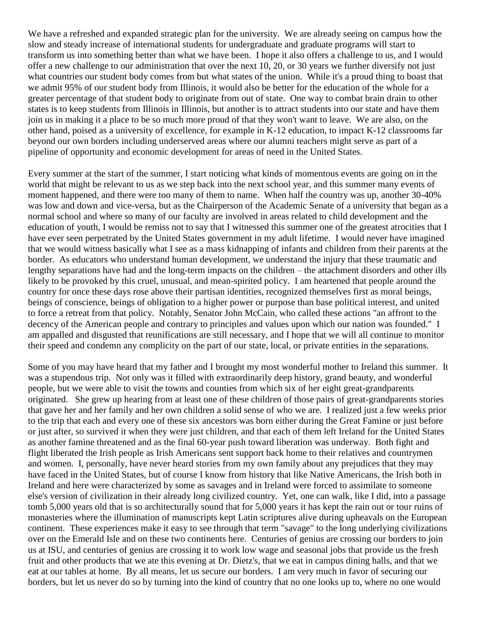We have a refreshed and expanded strategic plan for the university. We are already seeing on campus how the slow and steady increase of international students for undergraduate and graduate programs will start to transform us into something better than what we have been. I hope it also offers a challenge to us, and I would offer a new challenge to our administration that over the next 10, 20, or 30 years we further diversify not just what countries our student body comes from but what states of the union. While it's a proud thing to boast that we admit 95% of our student body from Illinois, it would also be better for the education of the whole for a greater percentage of that student body to originate from out of state. One way to combat brain drain to other states is to keep students from Illinois in Illinois, but another is to attract students into our state and have them join us in making it a place to be so much more proud of that they won't want to leave. We are also, on the other hand, poised as a university of excellence, for example in K-12 education, to impact K-12 classrooms far beyond our own borders including underserved areas where our alumni teachers might serve as part of a pipeline of opportunity and economic development for areas of need in the United States.

Every summer at the start of the summer, I start noticing what kinds of momentous events are going on in the world that might be relevant to us as we step back into the next school year, and this summer many events of moment happened, and there were too many of them to name. When half the country was up, another 30-40% was low and down and vice-versa, but as the Chairperson of the Academic Senate of a university that began as a normal school and where so many of our faculty are involved in areas related to child development and the education of youth, I would be remiss not to say that I witnessed this summer one of the greatest atrocities that I have ever seen perpetrated by the United States government in my adult lifetime. I would never have imagined that we would witness basically what I see as a mass kidnapping of infants and children from their parents at the border. As educators who understand human development, we understand the injury that these traumatic and lengthy separations have had and the long-term impacts on the children – the attachment disorders and other ills likely to be provoked by this cruel, unusual, and mean-spirited policy. I am heartened that people around the country for once these days rose above their partisan identities, recognized themselves first as moral beings, beings of conscience, beings of obligation to a higher power or purpose than base political interest, and united to force a retreat from that policy. Notably, Senator John McCain, who called these actions "an affront to the decency of the American people and contrary to principles and values upon which our nation was founded." I am appalled and disgusted that reunifications are still necessary, and I hope that we will all continue to monitor their speed and condemn any complicity on the part of our state, local, or private entities in the separations.

Some of you may have heard that my father and I brought my most wonderful mother to Ireland this summer. It was a stupendous trip. Not only was it filled with extraordinarily deep history, grand beauty, and wonderful people, but we were able to visit the towns and counties from which six of her eight great-grandparents originated. She grew up hearing from at least one of these children of those pairs of great-grandparents stories that gave her and her family and her own children a solid sense of who we are. I realized just a few weeks prior to the trip that each and every one of these six ancestors was born either during the Great Famine or just before or just after, so survived it when they were just children, and that each of them left Ireland for the United States as another famine threatened and as the final 60-year push toward liberation was underway. Both fight and flight liberated the Irish people as Irish Americans sent support back home to their relatives and countrymen and women. I, personally, have never heard stories from my own family about any prejudices that they may have faced in the United States, but of course I know from history that like Native Americans, the Irish both in Ireland and here were characterized by some as savages and in Ireland were forced to assimilate to someone else's version of civilization in their already long civilized country. Yet, one can walk, like I did, into a passage tomb 5,000 years old that is so architecturally sound that for 5,000 years it has kept the rain out or tour ruins of monasteries where the illumination of manuscripts kept Latin scriptures alive during upheavals on the European continent. These experiences make it easy to see through that term "savage" to the long underlying civilizations over on the Emerald Isle and on these two continents here. Centuries of genius are crossing our borders to join us at ISU, and centuries of genius are crossing it to work low wage and seasonal jobs that provide us the fresh fruit and other products that we ate this evening at Dr. Dietz's, that we eat in campus dining halls, and that we eat at our tables at home. By all means, let us secure our borders. I am very much in favor of securing our borders, but let us never do so by turning into the kind of country that no one looks up to, where no one would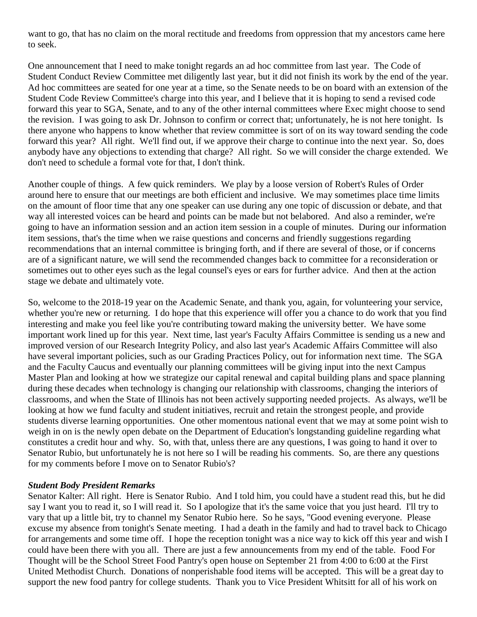want to go, that has no claim on the moral rectitude and freedoms from oppression that my ancestors came here to seek.

One announcement that I need to make tonight regards an ad hoc committee from last year. The Code of Student Conduct Review Committee met diligently last year, but it did not finish its work by the end of the year. Ad hoc committees are seated for one year at a time, so the Senate needs to be on board with an extension of the Student Code Review Committee's charge into this year, and I believe that it is hoping to send a revised code forward this year to SGA, Senate, and to any of the other internal committees where Exec might choose to send the revision. I was going to ask Dr. Johnson to confirm or correct that; unfortunately, he is not here tonight. Is there anyone who happens to know whether that review committee is sort of on its way toward sending the code forward this year? All right. We'll find out, if we approve their charge to continue into the next year. So, does anybody have any objections to extending that charge? All right. So we will consider the charge extended. We don't need to schedule a formal vote for that, I don't think.

Another couple of things. A few quick reminders. We play by a loose version of Robert's Rules of Order around here to ensure that our meetings are both efficient and inclusive. We may sometimes place time limits on the amount of floor time that any one speaker can use during any one topic of discussion or debate, and that way all interested voices can be heard and points can be made but not belabored. And also a reminder, we're going to have an information session and an action item session in a couple of minutes. During our information item sessions, that's the time when we raise questions and concerns and friendly suggestions regarding recommendations that an internal committee is bringing forth, and if there are several of those, or if concerns are of a significant nature, we will send the recommended changes back to committee for a reconsideration or sometimes out to other eyes such as the legal counsel's eyes or ears for further advice. And then at the action stage we debate and ultimately vote.

So, welcome to the 2018-19 year on the Academic Senate, and thank you, again, for volunteering your service, whether you're new or returning. I do hope that this experience will offer you a chance to do work that you find interesting and make you feel like you're contributing toward making the university better. We have some important work lined up for this year. Next time, last year's Faculty Affairs Committee is sending us a new and improved version of our Research Integrity Policy, and also last year's Academic Affairs Committee will also have several important policies, such as our Grading Practices Policy, out for information next time. The SGA and the Faculty Caucus and eventually our planning committees will be giving input into the next Campus Master Plan and looking at how we strategize our capital renewal and capital building plans and space planning during these decades when technology is changing our relationship with classrooms, changing the interiors of classrooms, and when the State of Illinois has not been actively supporting needed projects. As always, we'll be looking at how we fund faculty and student initiatives, recruit and retain the strongest people, and provide students diverse learning opportunities. One other momentous national event that we may at some point wish to weigh in on is the newly open debate on the Department of Education's longstanding guideline regarding what constitutes a credit hour and why. So, with that, unless there are any questions, I was going to hand it over to Senator Rubio, but unfortunately he is not here so I will be reading his comments. So, are there any questions for my comments before I move on to Senator Rubio's?

#### *Student Body President Remarks*

Senator Kalter: All right. Here is Senator Rubio. And I told him, you could have a student read this, but he did say I want you to read it, so I will read it. So I apologize that it's the same voice that you just heard. I'll try to vary that up a little bit, try to channel my Senator Rubio here. So he says, "Good evening everyone. Please excuse my absence from tonight's Senate meeting. I had a death in the family and had to travel back to Chicago for arrangements and some time off. I hope the reception tonight was a nice way to kick off this year and wish I could have been there with you all. There are just a few announcements from my end of the table. Food For Thought will be the School Street Food Pantry's open house on September 21 from 4:00 to 6:00 at the First United Methodist Church. Donations of nonperishable food items will be accepted. This will be a great day to support the new food pantry for college students. Thank you to Vice President Whitsitt for all of his work on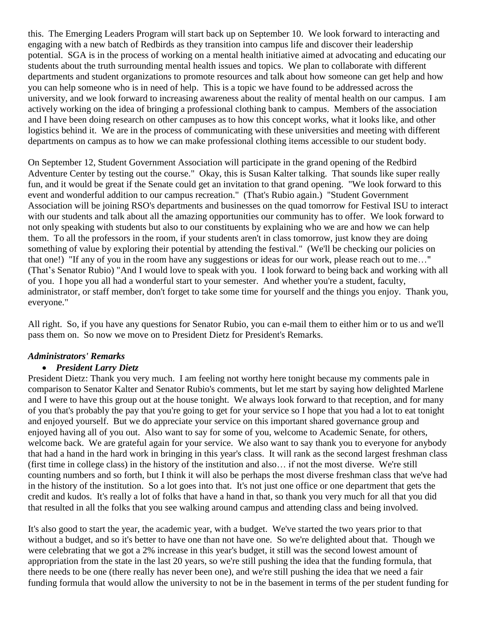this. The Emerging Leaders Program will start back up on September 10. We look forward to interacting and engaging with a new batch of Redbirds as they transition into campus life and discover their leadership potential. SGA is in the process of working on a mental health initiative aimed at advocating and educating our students about the truth surrounding mental health issues and topics. We plan to collaborate with different departments and student organizations to promote resources and talk about how someone can get help and how you can help someone who is in need of help. This is a topic we have found to be addressed across the university, and we look forward to increasing awareness about the reality of mental health on our campus. I am actively working on the idea of bringing a professional clothing bank to campus. Members of the association and I have been doing research on other campuses as to how this concept works, what it looks like, and other logistics behind it. We are in the process of communicating with these universities and meeting with different departments on campus as to how we can make professional clothing items accessible to our student body.

On September 12, Student Government Association will participate in the grand opening of the Redbird Adventure Center by testing out the course." Okay, this is Susan Kalter talking. That sounds like super really fun, and it would be great if the Senate could get an invitation to that grand opening. "We look forward to this event and wonderful addition to our campus recreation." (That's Rubio again.) "Student Government Association will be joining RSO's departments and businesses on the quad tomorrow for Festival ISU to interact with our students and talk about all the amazing opportunities our community has to offer. We look forward to not only speaking with students but also to our constituents by explaining who we are and how we can help them. To all the professors in the room, if your students aren't in class tomorrow, just know they are doing something of value by exploring their potential by attending the festival." (We'll be checking our policies on that one!) "If any of you in the room have any suggestions or ideas for our work, please reach out to me…" (That's Senator Rubio) "And I would love to speak with you. I look forward to being back and working with all of you. I hope you all had a wonderful start to your semester. And whether you're a student, faculty, administrator, or staff member, don't forget to take some time for yourself and the things you enjoy. Thank you, everyone."

All right. So, if you have any questions for Senator Rubio, you can e-mail them to either him or to us and we'll pass them on. So now we move on to President Dietz for President's Remarks.

## *Administrators' Remarks*

#### • *President Larry Dietz*

President Dietz: Thank you very much. I am feeling not worthy here tonight because my comments pale in comparison to Senator Kalter and Senator Rubio's comments, but let me start by saying how delighted Marlene and I were to have this group out at the house tonight. We always look forward to that reception, and for many of you that's probably the pay that you're going to get for your service so I hope that you had a lot to eat tonight and enjoyed yourself. But we do appreciate your service on this important shared governance group and enjoyed having all of you out. Also want to say for some of you, welcome to Academic Senate, for others, welcome back. We are grateful again for your service. We also want to say thank you to everyone for anybody that had a hand in the hard work in bringing in this year's class. It will rank as the second largest freshman class (first time in college class) in the history of the institution and also… if not the most diverse. We're still counting numbers and so forth, but I think it will also be perhaps the most diverse freshman class that we've had in the history of the institution. So a lot goes into that. It's not just one office or one department that gets the credit and kudos. It's really a lot of folks that have a hand in that, so thank you very much for all that you did that resulted in all the folks that you see walking around campus and attending class and being involved.

It's also good to start the year, the academic year, with a budget. We've started the two years prior to that without a budget, and so it's better to have one than not have one. So we're delighted about that. Though we were celebrating that we got a 2% increase in this year's budget, it still was the second lowest amount of appropriation from the state in the last 20 years, so we're still pushing the idea that the funding formula, that there needs to be one (there really has never been one), and we're still pushing the idea that we need a fair funding formula that would allow the university to not be in the basement in terms of the per student funding for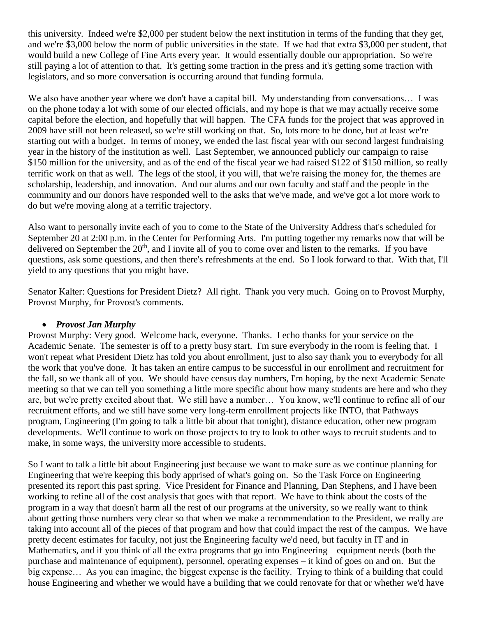this university. Indeed we're \$2,000 per student below the next institution in terms of the funding that they get, and we're \$3,000 below the norm of public universities in the state. If we had that extra \$3,000 per student, that would build a new College of Fine Arts every year. It would essentially double our appropriation. So we're still paying a lot of attention to that. It's getting some traction in the press and it's getting some traction with legislators, and so more conversation is occurring around that funding formula.

We also have another year where we don't have a capital bill. My understanding from conversations... I was on the phone today a lot with some of our elected officials, and my hope is that we may actually receive some capital before the election, and hopefully that will happen. The CFA funds for the project that was approved in 2009 have still not been released, so we're still working on that. So, lots more to be done, but at least we're starting out with a budget. In terms of money, we ended the last fiscal year with our second largest fundraising year in the history of the institution as well. Last September, we announced publicly our campaign to raise \$150 million for the university, and as of the end of the fiscal year we had raised \$122 of \$150 million, so really terrific work on that as well. The legs of the stool, if you will, that we're raising the money for, the themes are scholarship, leadership, and innovation. And our alums and our own faculty and staff and the people in the community and our donors have responded well to the asks that we've made, and we've got a lot more work to do but we're moving along at a terrific trajectory.

Also want to personally invite each of you to come to the State of the University Address that's scheduled for September 20 at 2:00 p.m. in the Center for Performing Arts. I'm putting together my remarks now that will be delivered on September the  $20<sup>th</sup>$ , and I invite all of you to come over and listen to the remarks. If you have questions, ask some questions, and then there's refreshments at the end. So I look forward to that. With that, I'll yield to any questions that you might have.

Senator Kalter: Questions for President Dietz? All right. Thank you very much. Going on to Provost Murphy, Provost Murphy, for Provost's comments.

#### • *Provost Jan Murphy*

Provost Murphy: Very good. Welcome back, everyone. Thanks. I echo thanks for your service on the Academic Senate. The semester is off to a pretty busy start. I'm sure everybody in the room is feeling that. I won't repeat what President Dietz has told you about enrollment, just to also say thank you to everybody for all the work that you've done. It has taken an entire campus to be successful in our enrollment and recruitment for the fall, so we thank all of you. We should have census day numbers, I'm hoping, by the next Academic Senate meeting so that we can tell you something a little more specific about how many students are here and who they are, but we're pretty excited about that. We still have a number… You know, we'll continue to refine all of our recruitment efforts, and we still have some very long-term enrollment projects like INTO, that Pathways program, Engineering (I'm going to talk a little bit about that tonight), distance education, other new program developments. We'll continue to work on those projects to try to look to other ways to recruit students and to make, in some ways, the university more accessible to students.

So I want to talk a little bit about Engineering just because we want to make sure as we continue planning for Engineering that we're keeping this body apprised of what's going on. So the Task Force on Engineering presented its report this past spring. Vice President for Finance and Planning, Dan Stephens, and I have been working to refine all of the cost analysis that goes with that report. We have to think about the costs of the program in a way that doesn't harm all the rest of our programs at the university, so we really want to think about getting those numbers very clear so that when we make a recommendation to the President, we really are taking into account all of the pieces of that program and how that could impact the rest of the campus. We have pretty decent estimates for faculty, not just the Engineering faculty we'd need, but faculty in IT and in Mathematics, and if you think of all the extra programs that go into Engineering – equipment needs (both the purchase and maintenance of equipment), personnel, operating expenses – it kind of goes on and on. But the big expense… As you can imagine, the biggest expense is the facility. Trying to think of a building that could house Engineering and whether we would have a building that we could renovate for that or whether we'd have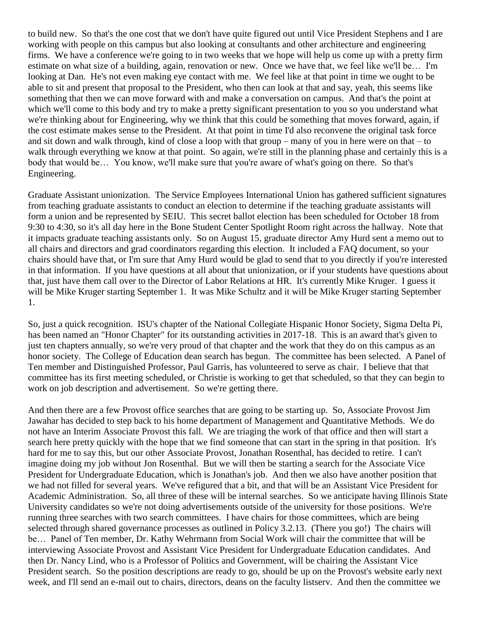to build new. So that's the one cost that we don't have quite figured out until Vice President Stephens and I are working with people on this campus but also looking at consultants and other architecture and engineering firms. We have a conference we're going to in two weeks that we hope will help us come up with a pretty firm estimate on what size of a building, again, renovation or new. Once we have that, we feel like we'll be… I'm looking at Dan. He's not even making eye contact with me. We feel like at that point in time we ought to be able to sit and present that proposal to the President, who then can look at that and say, yeah, this seems like something that then we can move forward with and make a conversation on campus. And that's the point at which we'll come to this body and try to make a pretty significant presentation to you so you understand what we're thinking about for Engineering, why we think that this could be something that moves forward, again, if the cost estimate makes sense to the President. At that point in time I'd also reconvene the original task force and sit down and walk through, kind of close a loop with that group – many of you in here were on that – to walk through everything we know at that point. So again, we're still in the planning phase and certainly this is a body that would be… You know, we'll make sure that you're aware of what's going on there. So that's Engineering.

Graduate Assistant unionization. The Service Employees International Union has gathered sufficient signatures from teaching graduate assistants to conduct an election to determine if the teaching graduate assistants will form a union and be represented by SEIU. This secret ballot election has been scheduled for October 18 from 9:30 to 4:30, so it's all day here in the Bone Student Center Spotlight Room right across the hallway. Note that it impacts graduate teaching assistants only. So on August 15, graduate director Amy Hurd sent a memo out to all chairs and directors and grad coordinators regarding this election. It included a FAQ document, so your chairs should have that, or I'm sure that Amy Hurd would be glad to send that to you directly if you're interested in that information. If you have questions at all about that unionization, or if your students have questions about that, just have them call over to the Director of Labor Relations at HR. It's currently Mike Kruger. I guess it will be Mike Kruger starting September 1. It was Mike Schultz and it will be Mike Kruger starting September 1.

So, just a quick recognition. ISU's chapter of the National Collegiate Hispanic Honor Society, Sigma Delta Pi, has been named an "Honor Chapter" for its outstanding activities in 2017-18. This is an award that's given to just ten chapters annually, so we're very proud of that chapter and the work that they do on this campus as an honor society. The College of Education dean search has begun. The committee has been selected. A Panel of Ten member and Distinguished Professor, Paul Garris, has volunteered to serve as chair. I believe that that committee has its first meeting scheduled, or Christie is working to get that scheduled, so that they can begin to work on job description and advertisement. So we're getting there.

And then there are a few Provost office searches that are going to be starting up. So, Associate Provost Jim Jawahar has decided to step back to his home department of Management and Quantitative Methods. We do not have an Interim Associate Provost this fall. We are triaging the work of that office and then will start a search here pretty quickly with the hope that we find someone that can start in the spring in that position. It's hard for me to say this, but our other Associate Provost, Jonathan Rosenthal, has decided to retire. I can't imagine doing my job without Jon Rosenthal. But we will then be starting a search for the Associate Vice President for Undergraduate Education, which is Jonathan's job. And then we also have another position that we had not filled for several years. We've refigured that a bit, and that will be an Assistant Vice President for Academic Administration. So, all three of these will be internal searches. So we anticipate having Illinois State University candidates so we're not doing advertisements outside of the university for those positions. We're running three searches with two search committees. I have chairs for those committees, which are being selected through shared governance processes as outlined in Policy 3.2.13. (There you go!) The chairs will be… Panel of Ten member, Dr. Kathy Wehrmann from Social Work will chair the committee that will be interviewing Associate Provost and Assistant Vice President for Undergraduate Education candidates. And then Dr. Nancy Lind, who is a Professor of Politics and Government, will be chairing the Assistant Vice President search. So the position descriptions are ready to go, should be up on the Provost's website early next week, and I'll send an e-mail out to chairs, directors, deans on the faculty listserv. And then the committee we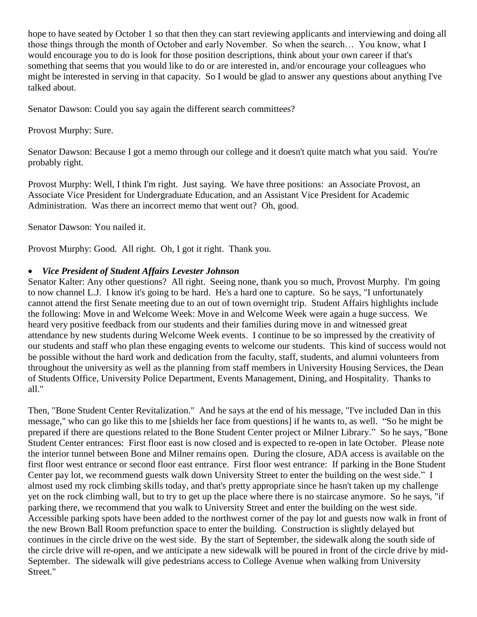hope to have seated by October 1 so that then they can start reviewing applicants and interviewing and doing all those things through the month of October and early November. So when the search… You know, what I would encourage you to do is look for those position descriptions, think about your own career if that's something that seems that you would like to do or are interested in, and/or encourage your colleagues who might be interested in serving in that capacity. So I would be glad to answer any questions about anything I've talked about.

Senator Dawson: Could you say again the different search committees?

Provost Murphy: Sure.

Senator Dawson: Because I got a memo through our college and it doesn't quite match what you said. You're probably right.

Provost Murphy: Well, I think I'm right. Just saying. We have three positions: an Associate Provost, an Associate Vice President for Undergraduate Education, and an Assistant Vice President for Academic Administration. Was there an incorrect memo that went out? Oh, good.

Senator Dawson: You nailed it.

Provost Murphy: Good. All right. Oh, I got it right. Thank you.

### • *Vice President of Student Affairs Levester Johnson*

Senator Kalter: Any other questions? All right. Seeing none, thank you so much, Provost Murphy. I'm going to now channel L.J. I know it's going to be hard. He's a hard one to capture. So he says, "I unfortunately cannot attend the first Senate meeting due to an out of town overnight trip. Student Affairs highlights include the following: Move in and Welcome Week: Move in and Welcome Week were again a huge success. We heard very positive feedback from our students and their families during move in and witnessed great attendance by new students during Welcome Week events. I continue to be so impressed by the creativity of our students and staff who plan these engaging events to welcome our students. This kind of success would not be possible without the hard work and dedication from the faculty, staff, students, and alumni volunteers from throughout the university as well as the planning from staff members in University Housing Services, the Dean of Students Office, University Police Department, Events Management, Dining, and Hospitality. Thanks to all."

Then, "Bone Student Center Revitalization." And he says at the end of his message, "I've included Dan in this message," who can go like this to me [shields her face from questions] if he wants to, as well. "So he might be prepared if there are questions related to the Bone Student Center project or Milner Library." So he says, "Bone Student Center entrances: First floor east is now closed and is expected to re-open in late October. Please note the interior tunnel between Bone and Milner remains open. During the closure, ADA access is available on the first floor west entrance or second floor east entrance. First floor west entrance: If parking in the Bone Student Center pay lot, we recommend guests walk down University Street to enter the building on the west side." I almost used my rock climbing skills today, and that's pretty appropriate since he hasn't taken up my challenge yet on the rock climbing wall, but to try to get up the place where there is no staircase anymore. So he says, "if parking there, we recommend that you walk to University Street and enter the building on the west side. Accessible parking spots have been added to the northwest corner of the pay lot and guests now walk in front of the new Brown Ball Room prefunction space to enter the building. Construction is slightly delayed but continues in the circle drive on the west side. By the start of September, the sidewalk along the south side of the circle drive will re-open, and we anticipate a new sidewalk will be poured in front of the circle drive by mid-September. The sidewalk will give pedestrians access to College Avenue when walking from University Street."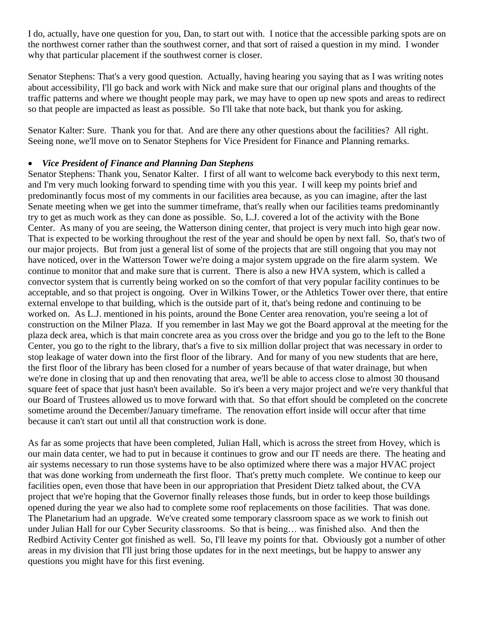I do, actually, have one question for you, Dan, to start out with. I notice that the accessible parking spots are on the northwest corner rather than the southwest corner, and that sort of raised a question in my mind. I wonder why that particular placement if the southwest corner is closer.

Senator Stephens: That's a very good question. Actually, having hearing you saying that as I was writing notes about accessibility, I'll go back and work with Nick and make sure that our original plans and thoughts of the traffic patterns and where we thought people may park, we may have to open up new spots and areas to redirect so that people are impacted as least as possible. So I'll take that note back, but thank you for asking.

Senator Kalter: Sure. Thank you for that. And are there any other questions about the facilities? All right. Seeing none, we'll move on to Senator Stephens for Vice President for Finance and Planning remarks.

## • *Vice President of Finance and Planning Dan Stephens*

Senator Stephens: Thank you, Senator Kalter. I first of all want to welcome back everybody to this next term, and I'm very much looking forward to spending time with you this year. I will keep my points brief and predominantly focus most of my comments in our facilities area because, as you can imagine, after the last Senate meeting when we get into the summer timeframe, that's really when our facilities teams predominantly try to get as much work as they can done as possible. So, L.J. covered a lot of the activity with the Bone Center. As many of you are seeing, the Watterson dining center, that project is very much into high gear now. That is expected to be working throughout the rest of the year and should be open by next fall. So, that's two of our major projects. But from just a general list of some of the projects that are still ongoing that you may not have noticed, over in the Watterson Tower we're doing a major system upgrade on the fire alarm system. We continue to monitor that and make sure that is current. There is also a new HVA system, which is called a convector system that is currently being worked on so the comfort of that very popular facility continues to be acceptable, and so that project is ongoing. Over in Wilkins Tower, or the Athletics Tower over there, that entire external envelope to that building, which is the outside part of it, that's being redone and continuing to be worked on. As L.J. mentioned in his points, around the Bone Center area renovation, you're seeing a lot of construction on the Milner Plaza. If you remember in last May we got the Board approval at the meeting for the plaza deck area, which is that main concrete area as you cross over the bridge and you go to the left to the Bone Center, you go to the right to the library, that's a five to six million dollar project that was necessary in order to stop leakage of water down into the first floor of the library. And for many of you new students that are here, the first floor of the library has been closed for a number of years because of that water drainage, but when we're done in closing that up and then renovating that area, we'll be able to access close to almost 30 thousand square feet of space that just hasn't been available. So it's been a very major project and we're very thankful that our Board of Trustees allowed us to move forward with that. So that effort should be completed on the concrete sometime around the December/January timeframe. The renovation effort inside will occur after that time because it can't start out until all that construction work is done.

As far as some projects that have been completed, Julian Hall, which is across the street from Hovey, which is our main data center, we had to put in because it continues to grow and our IT needs are there. The heating and air systems necessary to run those systems have to be also optimized where there was a major HVAC project that was done working from underneath the first floor. That's pretty much complete. We continue to keep our facilities open, even those that have been in our appropriation that President Dietz talked about, the CVA project that we're hoping that the Governor finally releases those funds, but in order to keep those buildings opened during the year we also had to complete some roof replacements on those facilities. That was done. The Planetarium had an upgrade. We've created some temporary classroom space as we work to finish out under Julian Hall for our Cyber Security classrooms. So that is being… was finished also. And then the Redbird Activity Center got finished as well. So, I'll leave my points for that. Obviously got a number of other areas in my division that I'll just bring those updates for in the next meetings, but be happy to answer any questions you might have for this first evening.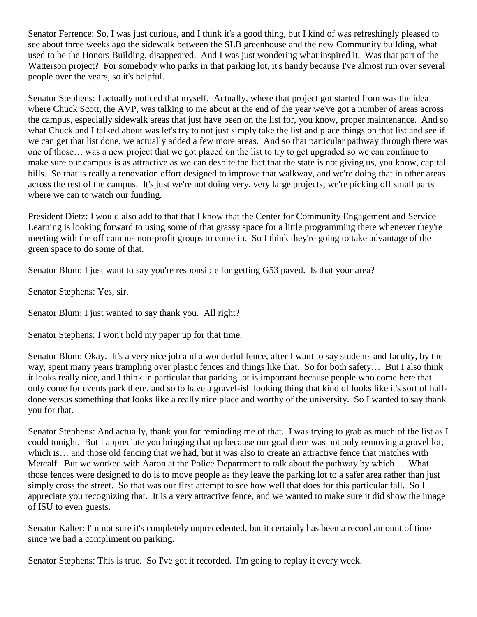Senator Ferrence: So, I was just curious, and I think it's a good thing, but I kind of was refreshingly pleased to see about three weeks ago the sidewalk between the SLB greenhouse and the new Community building, what used to be the Honors Building, disappeared. And I was just wondering what inspired it. Was that part of the Watterson project? For somebody who parks in that parking lot, it's handy because I've almost run over several people over the years, so it's helpful.

Senator Stephens: I actually noticed that myself. Actually, where that project got started from was the idea where Chuck Scott, the AVP, was talking to me about at the end of the year we've got a number of areas across the campus, especially sidewalk areas that just have been on the list for, you know, proper maintenance. And so what Chuck and I talked about was let's try to not just simply take the list and place things on that list and see if we can get that list done, we actually added a few more areas. And so that particular pathway through there was one of those… was a new project that we got placed on the list to try to get upgraded so we can continue to make sure our campus is as attractive as we can despite the fact that the state is not giving us, you know, capital bills. So that is really a renovation effort designed to improve that walkway, and we're doing that in other areas across the rest of the campus. It's just we're not doing very, very large projects; we're picking off small parts where we can to watch our funding.

President Dietz: I would also add to that that I know that the Center for Community Engagement and Service Learning is looking forward to using some of that grassy space for a little programming there whenever they're meeting with the off campus non-profit groups to come in. So I think they're going to take advantage of the green space to do some of that.

Senator Blum: I just want to say you're responsible for getting G53 paved. Is that your area?

Senator Stephens: Yes, sir.

Senator Blum: I just wanted to say thank you. All right?

Senator Stephens: I won't hold my paper up for that time.

Senator Blum: Okay. It's a very nice job and a wonderful fence, after I want to say students and faculty, by the way, spent many years trampling over plastic fences and things like that. So for both safety… But I also think it looks really nice, and I think in particular that parking lot is important because people who come here that only come for events park there, and so to have a gravel-ish looking thing that kind of looks like it's sort of halfdone versus something that looks like a really nice place and worthy of the university. So I wanted to say thank you for that.

Senator Stephens: And actually, thank you for reminding me of that. I was trying to grab as much of the list as I could tonight. But I appreciate you bringing that up because our goal there was not only removing a gravel lot, which is… and those old fencing that we had, but it was also to create an attractive fence that matches with Metcalf. But we worked with Aaron at the Police Department to talk about the pathway by which… What those fences were designed to do is to move people as they leave the parking lot to a safer area rather than just simply cross the street. So that was our first attempt to see how well that does for this particular fall. So I appreciate you recognizing that. It is a very attractive fence, and we wanted to make sure it did show the image of ISU to even guests.

Senator Kalter: I'm not sure it's completely unprecedented, but it certainly has been a record amount of time since we had a compliment on parking.

Senator Stephens: This is true. So I've got it recorded. I'm going to replay it every week.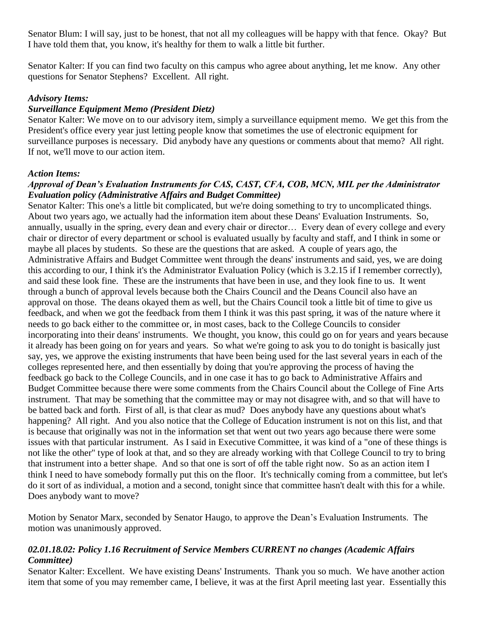Senator Blum: I will say, just to be honest, that not all my colleagues will be happy with that fence. Okay? But I have told them that, you know, it's healthy for them to walk a little bit further.

Senator Kalter: If you can find two faculty on this campus who agree about anything, let me know. Any other questions for Senator Stephens? Excellent. All right.

## *Advisory Items:*

## *Surveillance Equipment Memo (President Dietz)*

Senator Kalter: We move on to our advisory item, simply a surveillance equipment memo. We get this from the President's office every year just letting people know that sometimes the use of electronic equipment for surveillance purposes is necessary. Did anybody have any questions or comments about that memo? All right. If not, we'll move to our action item.

#### *Action Items:*

## *Approval of Dean's Evaluation Instruments for CAS, CAST, CFA, COB, MCN, MIL per the Administrator Evaluation policy (Administrative Affairs and Budget Committee)*

Senator Kalter: This one's a little bit complicated, but we're doing something to try to uncomplicated things. About two years ago, we actually had the information item about these Deans' Evaluation Instruments. So, annually, usually in the spring, every dean and every chair or director… Every dean of every college and every chair or director of every department or school is evaluated usually by faculty and staff, and I think in some or maybe all places by students. So these are the questions that are asked. A couple of years ago, the Administrative Affairs and Budget Committee went through the deans' instruments and said, yes, we are doing this according to our, I think it's the Administrator Evaluation Policy (which is 3.2.15 if I remember correctly), and said these look fine. These are the instruments that have been in use, and they look fine to us. It went through a bunch of approval levels because both the Chairs Council and the Deans Council also have an approval on those. The deans okayed them as well, but the Chairs Council took a little bit of time to give us feedback, and when we got the feedback from them I think it was this past spring, it was of the nature where it needs to go back either to the committee or, in most cases, back to the College Councils to consider incorporating into their deans' instruments. We thought, you know, this could go on for years and years because it already has been going on for years and years. So what we're going to ask you to do tonight is basically just say, yes, we approve the existing instruments that have been being used for the last several years in each of the colleges represented here, and then essentially by doing that you're approving the process of having the feedback go back to the College Councils, and in one case it has to go back to Administrative Affairs and Budget Committee because there were some comments from the Chairs Council about the College of Fine Arts instrument. That may be something that the committee may or may not disagree with, and so that will have to be batted back and forth. First of all, is that clear as mud? Does anybody have any questions about what's happening? All right. And you also notice that the College of Education instrument is not on this list, and that is because that originally was not in the information set that went out two years ago because there were some issues with that particular instrument. As I said in Executive Committee, it was kind of a "one of these things is not like the other" type of look at that, and so they are already working with that College Council to try to bring that instrument into a better shape. And so that one is sort of off the table right now. So as an action item I think I need to have somebody formally put this on the floor. It's technically coming from a committee, but let's do it sort of as individual, a motion and a second, tonight since that committee hasn't dealt with this for a while. Does anybody want to move?

Motion by Senator Marx, seconded by Senator Haugo, to approve the Dean's Evaluation Instruments. The motion was unanimously approved.

### *02.01.18.02: Policy 1.16 Recruitment of Service Members CURRENT no changes (Academic Affairs Committee)*

Senator Kalter: Excellent. We have existing Deans' Instruments. Thank you so much. We have another action item that some of you may remember came, I believe, it was at the first April meeting last year. Essentially this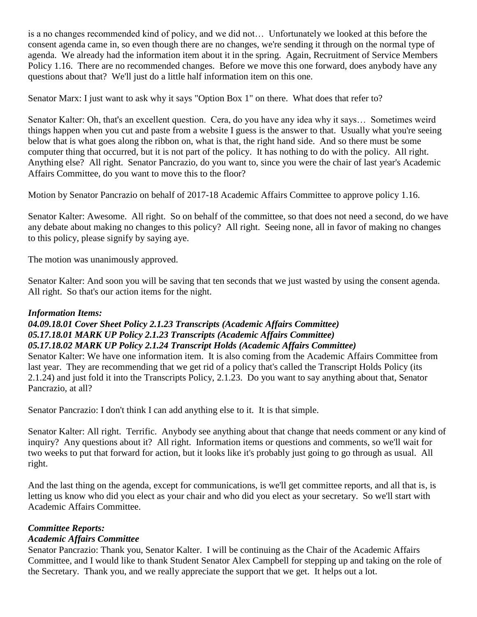is a no changes recommended kind of policy, and we did not… Unfortunately we looked at this before the consent agenda came in, so even though there are no changes, we're sending it through on the normal type of agenda. We already had the information item about it in the spring. Again, Recruitment of Service Members Policy 1.16. There are no recommended changes. Before we move this one forward, does anybody have any questions about that? We'll just do a little half information item on this one.

Senator Marx: I just want to ask why it says "Option Box 1" on there. What does that refer to?

Senator Kalter: Oh, that's an excellent question. Cera, do you have any idea why it says… Sometimes weird things happen when you cut and paste from a website I guess is the answer to that. Usually what you're seeing below that is what goes along the ribbon on, what is that, the right hand side. And so there must be some computer thing that occurred, but it is not part of the policy. It has nothing to do with the policy. All right. Anything else? All right. Senator Pancrazio, do you want to, since you were the chair of last year's Academic Affairs Committee, do you want to move this to the floor?

Motion by Senator Pancrazio on behalf of 2017-18 Academic Affairs Committee to approve policy 1.16.

Senator Kalter: Awesome. All right. So on behalf of the committee, so that does not need a second, do we have any debate about making no changes to this policy? All right. Seeing none, all in favor of making no changes to this policy, please signify by saying aye.

The motion was unanimously approved.

Senator Kalter: And soon you will be saving that ten seconds that we just wasted by using the consent agenda. All right. So that's our action items for the night.

#### *Information Items:*

## *04.09.18.01 Cover Sheet Policy 2.1.23 Transcripts (Academic Affairs Committee) 05.17.18.01 MARK UP Policy 2.1.23 Transcripts (Academic Affairs Committee) 05.17.18.02 MARK UP Policy 2.1.24 Transcript Holds (Academic Affairs Committee)*

Senator Kalter: We have one information item. It is also coming from the Academic Affairs Committee from last year. They are recommending that we get rid of a policy that's called the Transcript Holds Policy (its 2.1.24) and just fold it into the Transcripts Policy, 2.1.23. Do you want to say anything about that, Senator Pancrazio, at all?

Senator Pancrazio: I don't think I can add anything else to it. It is that simple.

Senator Kalter: All right. Terrific. Anybody see anything about that change that needs comment or any kind of inquiry? Any questions about it? All right. Information items or questions and comments, so we'll wait for two weeks to put that forward for action, but it looks like it's probably just going to go through as usual. All right.

And the last thing on the agenda, except for communications, is we'll get committee reports, and all that is, is letting us know who did you elect as your chair and who did you elect as your secretary. So we'll start with Academic Affairs Committee.

## *Committee Reports:*

#### *Academic Affairs Committee*

Senator Pancrazio: Thank you, Senator Kalter. I will be continuing as the Chair of the Academic Affairs Committee, and I would like to thank Student Senator Alex Campbell for stepping up and taking on the role of the Secretary. Thank you, and we really appreciate the support that we get. It helps out a lot.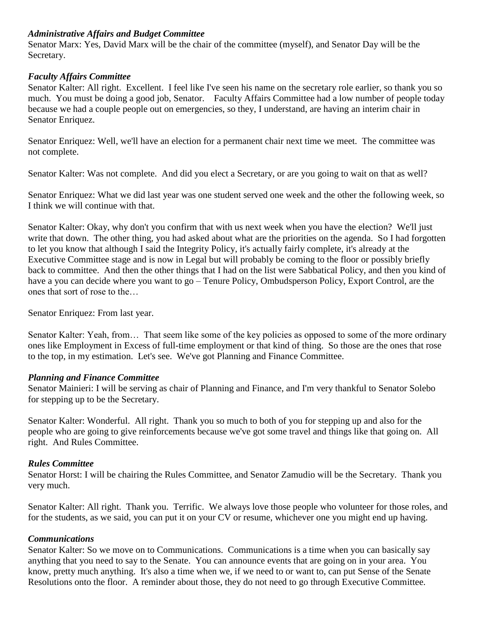## *Administrative Affairs and Budget Committee*

Senator Marx: Yes, David Marx will be the chair of the committee (myself), and Senator Day will be the Secretary.

#### *Faculty Affairs Committee*

Senator Kalter: All right. Excellent. I feel like I've seen his name on the secretary role earlier, so thank you so much. You must be doing a good job, Senator. Faculty Affairs Committee had a low number of people today because we had a couple people out on emergencies, so they, I understand, are having an interim chair in Senator Enriquez.

Senator Enriquez: Well, we'll have an election for a permanent chair next time we meet. The committee was not complete.

Senator Kalter: Was not complete. And did you elect a Secretary, or are you going to wait on that as well?

Senator Enriquez: What we did last year was one student served one week and the other the following week, so I think we will continue with that.

Senator Kalter: Okay, why don't you confirm that with us next week when you have the election? We'll just write that down. The other thing, you had asked about what are the priorities on the agenda. So I had forgotten to let you know that although I said the Integrity Policy, it's actually fairly complete, it's already at the Executive Committee stage and is now in Legal but will probably be coming to the floor or possibly briefly back to committee. And then the other things that I had on the list were Sabbatical Policy, and then you kind of have a you can decide where you want to go – Tenure Policy, Ombudsperson Policy, Export Control, are the ones that sort of rose to the…

Senator Enriquez: From last year.

Senator Kalter: Yeah, from… That seem like some of the key policies as opposed to some of the more ordinary ones like Employment in Excess of full-time employment or that kind of thing. So those are the ones that rose to the top, in my estimation. Let's see. We've got Planning and Finance Committee.

#### *Planning and Finance Committee*

Senator Mainieri: I will be serving as chair of Planning and Finance, and I'm very thankful to Senator Solebo for stepping up to be the Secretary.

Senator Kalter: Wonderful. All right. Thank you so much to both of you for stepping up and also for the people who are going to give reinforcements because we've got some travel and things like that going on. All right. And Rules Committee.

#### *Rules Committee*

Senator Horst: I will be chairing the Rules Committee, and Senator Zamudio will be the Secretary. Thank you very much.

Senator Kalter: All right. Thank you. Terrific. We always love those people who volunteer for those roles, and for the students, as we said, you can put it on your CV or resume, whichever one you might end up having.

#### *Communications*

Senator Kalter: So we move on to Communications. Communications is a time when you can basically say anything that you need to say to the Senate. You can announce events that are going on in your area. You know, pretty much anything. It's also a time when we, if we need to or want to, can put Sense of the Senate Resolutions onto the floor. A reminder about those, they do not need to go through Executive Committee.